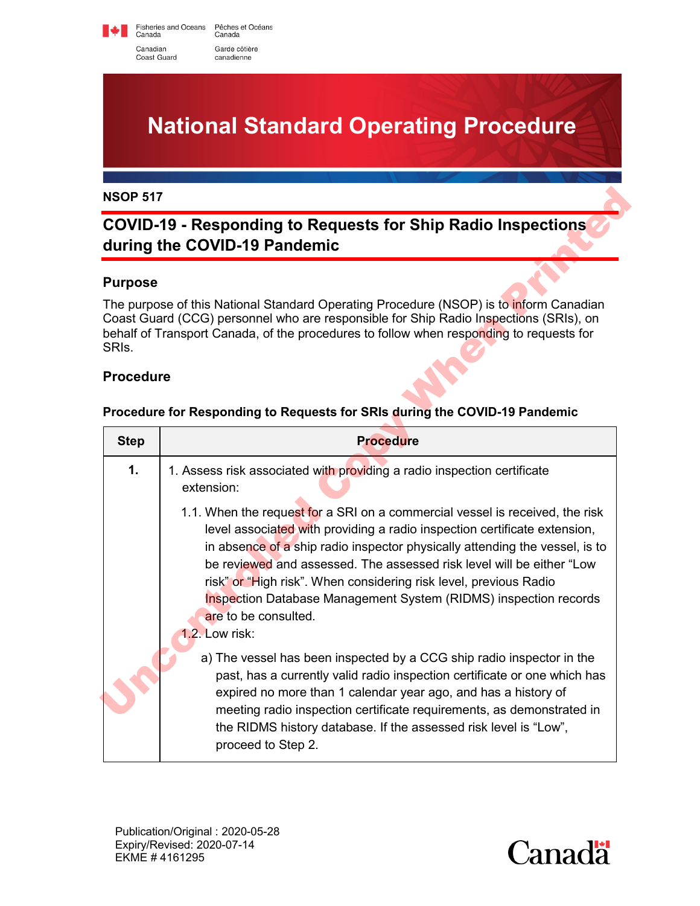Fisheries and Oceans Pêches et Océans<br>Canada Canada Canadian Garde côtière Coast Guard canadienne

**National Standard Operating Procedure**

# **COVID-19 - Responding to Requests for Ship Radio Inspections during the COVID-19 Pandemic**

### **Purpose**

### **Procedure**

#### **Procedure for Responding to Requests for SRIs during the COVID-19 Pandemic**

| <b>NSOP 517</b>                                                            |                                                                                                                                                                                                                                                                                                                                                                                                                                                                                                      |  |  |  |
|----------------------------------------------------------------------------|------------------------------------------------------------------------------------------------------------------------------------------------------------------------------------------------------------------------------------------------------------------------------------------------------------------------------------------------------------------------------------------------------------------------------------------------------------------------------------------------------|--|--|--|
|                                                                            | <b>COVID-19 - Responding to Requests for Ship Radio Inspections</b><br>during the COVID-19 Pandemic                                                                                                                                                                                                                                                                                                                                                                                                  |  |  |  |
| <b>Purpose</b>                                                             |                                                                                                                                                                                                                                                                                                                                                                                                                                                                                                      |  |  |  |
| SRI <sub>s.</sub>                                                          | The purpose of this National Standard Operating Procedure (NSOP) is to inform Canadian<br>Coast Guard (CCG) personnel who are responsible for Ship Radio Inspections (SRIs), on<br>behalf of Transport Canada, of the procedures to follow when responding to requests for                                                                                                                                                                                                                           |  |  |  |
| <b>Procedure</b>                                                           |                                                                                                                                                                                                                                                                                                                                                                                                                                                                                                      |  |  |  |
| Procedure for Responding to Requests for SRIs during the COVID-19 Pandemic |                                                                                                                                                                                                                                                                                                                                                                                                                                                                                                      |  |  |  |
| <b>Step</b>                                                                | <b>Procedure</b>                                                                                                                                                                                                                                                                                                                                                                                                                                                                                     |  |  |  |
| $\mathbf 1$ .                                                              | 1. Assess risk associated with providing a radio inspection certificate<br>extension:                                                                                                                                                                                                                                                                                                                                                                                                                |  |  |  |
|                                                                            | 1.1. When the request for a SRI on a commercial vessel is received, the risk<br>level associated with providing a radio inspection certificate extension,<br>in absence of a ship radio inspector physically attending the vessel, is to<br>be reviewed and assessed. The assessed risk level will be either "Low<br>risk" or "High risk". When considering risk level, previous Radio<br>Inspection Database Management System (RIDMS) inspection records<br>are to be consulted.<br>1.2. Low risk: |  |  |  |
|                                                                            | a) The vessel has been inspected by a CCG ship radio inspector in the<br>past, has a currently valid radio inspection certificate or one which has<br>expired no more than 1 calendar year ago, and has a history of<br>meeting radio inspection certificate requirements, as demonstrated in<br>the RIDMS history database. If the assessed risk level is "Low",                                                                                                                                    |  |  |  |

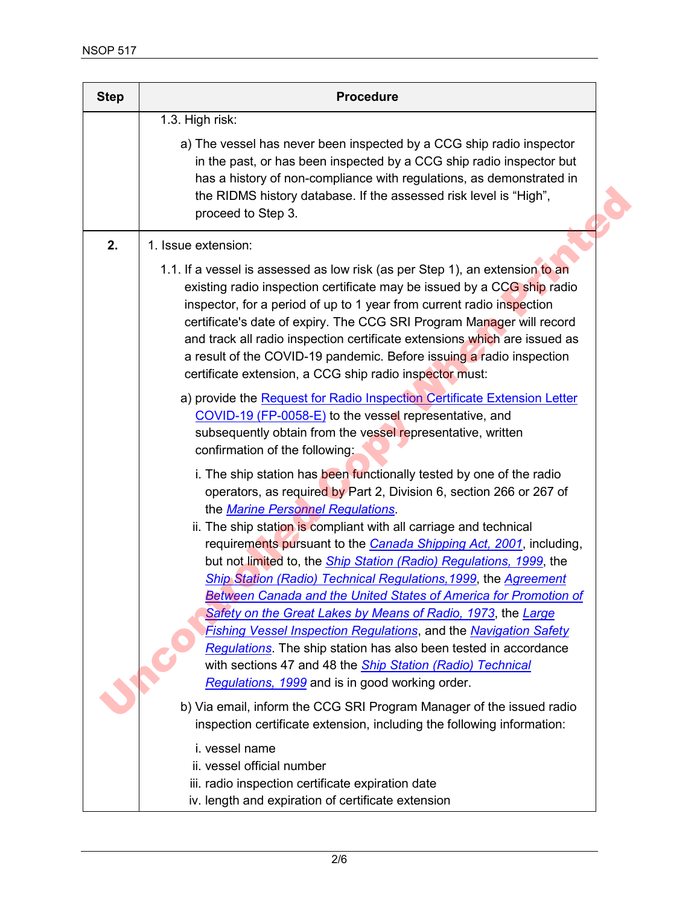| <b>Step</b> | <b>Procedure</b>                                                                                                                                                                                                                                                                                                                                                                                                                                                                                                                                                                                                                                                                                                                                                                                                                                                                                 |
|-------------|--------------------------------------------------------------------------------------------------------------------------------------------------------------------------------------------------------------------------------------------------------------------------------------------------------------------------------------------------------------------------------------------------------------------------------------------------------------------------------------------------------------------------------------------------------------------------------------------------------------------------------------------------------------------------------------------------------------------------------------------------------------------------------------------------------------------------------------------------------------------------------------------------|
|             | 1.3. High risk:<br>a) The vessel has never been inspected by a CCG ship radio inspector<br>in the past, or has been inspected by a CCG ship radio inspector but<br>has a history of non-compliance with regulations, as demonstrated in<br>the RIDMS history database. If the assessed risk level is "High",<br>proceed to Step 3.                                                                                                                                                                                                                                                                                                                                                                                                                                                                                                                                                               |
| 2.          | 1. Issue extension:<br>1.1. If a vessel is assessed as low risk (as per Step 1), an extension to an<br>existing radio inspection certificate may be issued by a CCG ship radio<br>inspector, for a period of up to 1 year from current radio inspection<br>certificate's date of expiry. The CCG SRI Program Manager will record<br>and track all radio inspection certificate extensions which are issued as<br>a result of the COVID-19 pandemic. Before issuing a radio inspection<br>certificate extension, a CCG ship radio inspector must:                                                                                                                                                                                                                                                                                                                                                 |
|             | a) provide the Request for Radio Inspection Certificate Extension Letter<br>COVID-19 (FP-0058-E) to the vessel representative, and<br>subsequently obtain from the vessel representative, written<br>confirmation of the following:                                                                                                                                                                                                                                                                                                                                                                                                                                                                                                                                                                                                                                                              |
|             | i. The ship station has been functionally tested by one of the radio<br>operators, as required by Part 2, Division 6, section 266 or 267 of<br>the Marine Personnel Regulations.<br>ii. The ship station is compliant with all carriage and technical<br>requirements pursuant to the <b>Canada Shipping Act, 2001</b> , including,<br>but not limited to, the <b>Ship Station (Radio) Regulations</b> , 1999, the<br>Ship Station (Radio) Technical Regulations, 1999, the Agreement<br>Between Canada and the United States of America for Promotion of<br>Safety on the Great Lakes by Means of Radio, 1973, the Large<br><b>Fishing Vessel Inspection Regulations, and the Navigation Safety</b><br>Regulations. The ship station has also been tested in accordance<br>with sections 47 and 48 the <i>Ship Station (Radio) Technical</i><br>Regulations, 1999 and is in good working order. |
|             | b) Via email, inform the CCG SRI Program Manager of the issued radio<br>inspection certificate extension, including the following information:                                                                                                                                                                                                                                                                                                                                                                                                                                                                                                                                                                                                                                                                                                                                                   |
|             | i. vessel name<br>ii. vessel official number<br>iii. radio inspection certificate expiration date<br>iv. length and expiration of certificate extension                                                                                                                                                                                                                                                                                                                                                                                                                                                                                                                                                                                                                                                                                                                                          |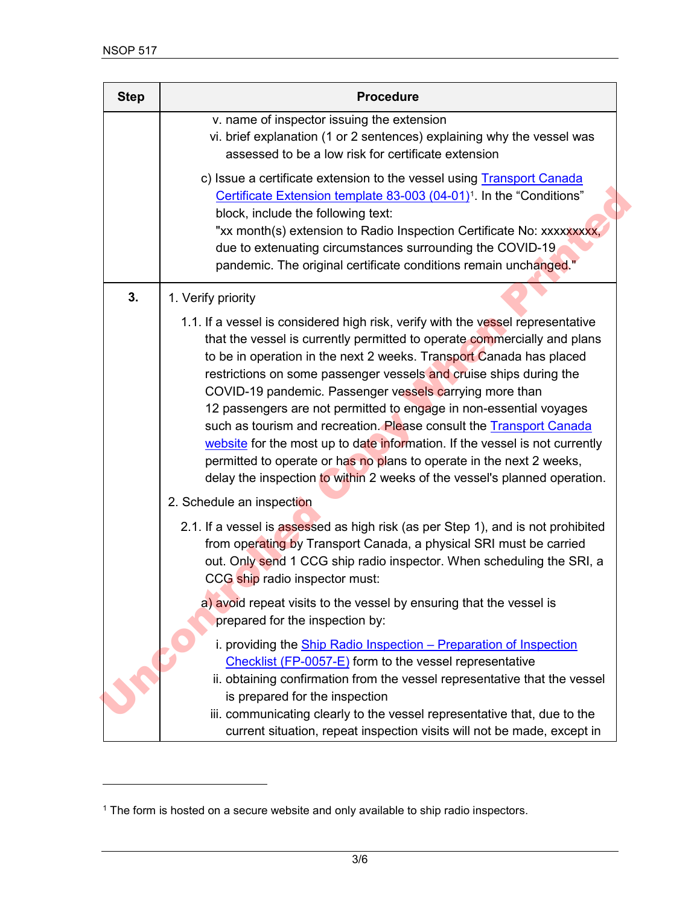| <b>Step</b> | <b>Procedure</b>                                                                                                                                                                                                                                                                                                                                                                                                                                                                                                                                                                                                                                                                                                                                     |
|-------------|------------------------------------------------------------------------------------------------------------------------------------------------------------------------------------------------------------------------------------------------------------------------------------------------------------------------------------------------------------------------------------------------------------------------------------------------------------------------------------------------------------------------------------------------------------------------------------------------------------------------------------------------------------------------------------------------------------------------------------------------------|
|             | v. name of inspector issuing the extension<br>vi. brief explanation (1 or 2 sentences) explaining why the vessel was<br>assessed to be a low risk for certificate extension                                                                                                                                                                                                                                                                                                                                                                                                                                                                                                                                                                          |
|             | c) Issue a certificate extension to the vessel using <b>Transport Canada</b><br>Certificate Extension template 83-003 (04-01) <sup>1</sup> . In the "Conditions"<br>block, include the following text:<br>"xx month(s) extension to Radio Inspection Certificate No: xxxxxxxxx,<br>due to extenuating circumstances surrounding the COVID-19<br>pandemic. The original certificate conditions remain unchanged."                                                                                                                                                                                                                                                                                                                                     |
| 3.          | 1. Verify priority                                                                                                                                                                                                                                                                                                                                                                                                                                                                                                                                                                                                                                                                                                                                   |
|             | 1.1. If a vessel is considered high risk, verify with the vessel representative<br>that the vessel is currently permitted to operate commercially and plans<br>to be in operation in the next 2 weeks. Transport Canada has placed<br>restrictions on some passenger vessels and cruise ships during the<br>COVID-19 pandemic. Passenger vessels carrying more than<br>12 passengers are not permitted to engage in non-essential voyages<br>such as tourism and recreation. Please consult the Transport Canada<br>website for the most up to date information. If the vessel is not currently<br>permitted to operate or has no plans to operate in the next 2 weeks,<br>delay the inspection to within 2 weeks of the vessel's planned operation. |
|             | 2. Schedule an inspection                                                                                                                                                                                                                                                                                                                                                                                                                                                                                                                                                                                                                                                                                                                            |
|             | 2.1. If a vessel is assessed as high risk (as per Step 1), and is not prohibited<br>from operating by Transport Canada, a physical SRI must be carried<br>out. Only send 1 CCG ship radio inspector. When scheduling the SRI, a<br>CCG ship radio inspector must:                                                                                                                                                                                                                                                                                                                                                                                                                                                                                    |
|             | a) avoid repeat visits to the vessel by ensuring that the vessel is<br>prepared for the inspection by:                                                                                                                                                                                                                                                                                                                                                                                                                                                                                                                                                                                                                                               |
|             | i. providing the Ship Radio Inspection - Preparation of Inspection<br>Checklist (FP-0057-E) form to the vessel representative<br>ii. obtaining confirmation from the vessel representative that the vessel<br>is prepared for the inspection<br>iii. communicating clearly to the vessel representative that, due to the<br>current situation, repeat inspection visits will not be made, except in                                                                                                                                                                                                                                                                                                                                                  |

<span id="page-2-0"></span><sup>1</sup> The form is hosted on a secure website and only available to ship radio inspectors.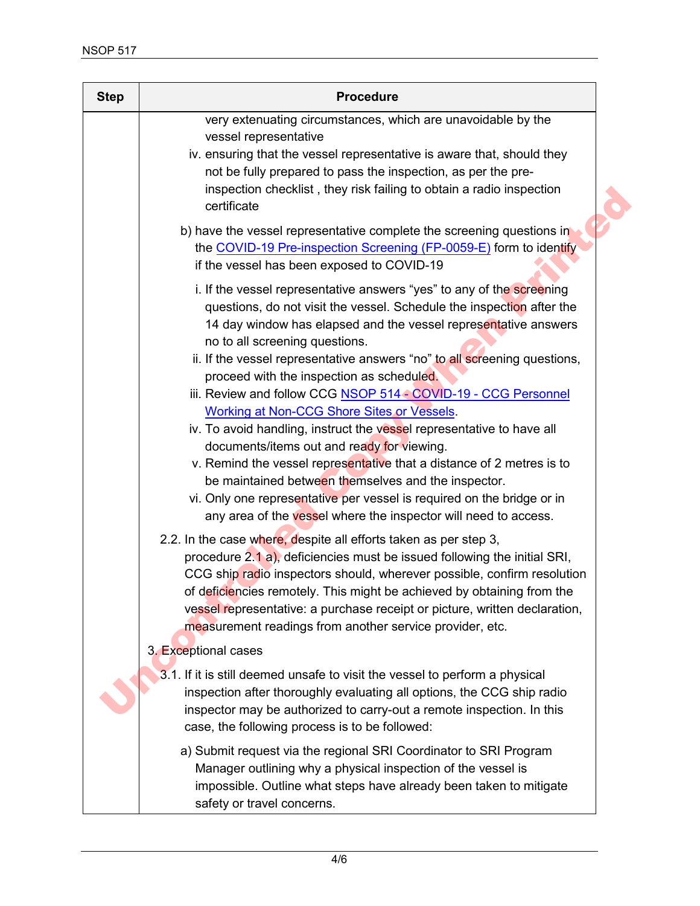| <b>Step</b> | <b>Procedure</b>                                                                                                                                                                                                                                                                                                                                                                                                                                                                                                                                                                                                                                                                                                                                                                                                                                                                                         |
|-------------|----------------------------------------------------------------------------------------------------------------------------------------------------------------------------------------------------------------------------------------------------------------------------------------------------------------------------------------------------------------------------------------------------------------------------------------------------------------------------------------------------------------------------------------------------------------------------------------------------------------------------------------------------------------------------------------------------------------------------------------------------------------------------------------------------------------------------------------------------------------------------------------------------------|
|             | very extenuating circumstances, which are unavoidable by the<br>vessel representative<br>iv. ensuring that the vessel representative is aware that, should they<br>not be fully prepared to pass the inspection, as per the pre-<br>inspection checklist, they risk failing to obtain a radio inspection<br>certificate                                                                                                                                                                                                                                                                                                                                                                                                                                                                                                                                                                                  |
|             | b) have the vessel representative complete the screening questions in<br>the COVID-19 Pre-inspection Screening (FP-0059-E) form to identify<br>if the vessel has been exposed to COVID-19                                                                                                                                                                                                                                                                                                                                                                                                                                                                                                                                                                                                                                                                                                                |
|             | i. If the vessel representative answers "yes" to any of the screening<br>questions, do not visit the vessel. Schedule the inspection after the<br>14 day window has elapsed and the vessel representative answers<br>no to all screening questions.<br>ii. If the vessel representative answers "no" to all screening questions,<br>proceed with the inspection as scheduled.<br>iii. Review and follow CCG NSOP 514 - COVID-19 - CCG Personnel<br><b>Working at Non-CCG Shore Sites or Vessels.</b><br>iv. To avoid handling, instruct the vessel representative to have all<br>documents/items out and ready for viewing.<br>v. Remind the vessel representative that a distance of 2 metres is to<br>be maintained between themselves and the inspector.<br>vi. Only one representative per vessel is required on the bridge or in<br>any area of the vessel where the inspector will need to access. |
|             | 2.2. In the case where, despite all efforts taken as per step 3,<br>procedure 2.1 a), deficiencies must be issued following the initial SRI,<br>CCG ship radio inspectors should, wherever possible, confirm resolution<br>of deficiencies remotely. This might be achieved by obtaining from the<br>vessel representative: a purchase receipt or picture, written declaration,<br>measurement readings from another service provider, etc.                                                                                                                                                                                                                                                                                                                                                                                                                                                              |
|             | 3. Exceptional cases                                                                                                                                                                                                                                                                                                                                                                                                                                                                                                                                                                                                                                                                                                                                                                                                                                                                                     |
|             | 3.1. If it is still deemed unsafe to visit the vessel to perform a physical<br>inspection after thoroughly evaluating all options, the CCG ship radio<br>inspector may be authorized to carry-out a remote inspection. In this<br>case, the following process is to be followed:                                                                                                                                                                                                                                                                                                                                                                                                                                                                                                                                                                                                                         |
|             | a) Submit request via the regional SRI Coordinator to SRI Program<br>Manager outlining why a physical inspection of the vessel is<br>impossible. Outline what steps have already been taken to mitigate<br>safety or travel concerns.                                                                                                                                                                                                                                                                                                                                                                                                                                                                                                                                                                                                                                                                    |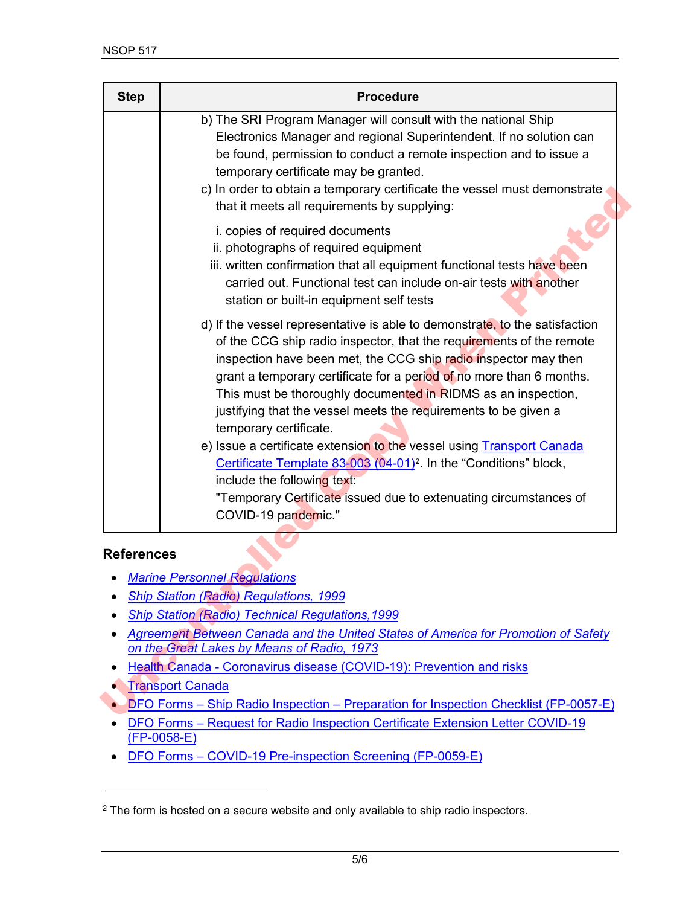| <b>Step</b>       | <b>Procedure</b>                                                                                                                                                                                                                                                                                                                                                                                                                                                                                                                                                                                                                                                                                                                                         |
|-------------------|----------------------------------------------------------------------------------------------------------------------------------------------------------------------------------------------------------------------------------------------------------------------------------------------------------------------------------------------------------------------------------------------------------------------------------------------------------------------------------------------------------------------------------------------------------------------------------------------------------------------------------------------------------------------------------------------------------------------------------------------------------|
|                   | b) The SRI Program Manager will consult with the national Ship<br>Electronics Manager and regional Superintendent. If no solution can<br>be found, permission to conduct a remote inspection and to issue a<br>temporary certificate may be granted.<br>c) In order to obtain a temporary certificate the vessel must demonstrate<br>that it meets all requirements by supplying:                                                                                                                                                                                                                                                                                                                                                                        |
|                   | i. copies of required documents<br>ii. photographs of required equipment<br>iii. written confirmation that all equipment functional tests have been<br>carried out. Functional test can include on-air tests with another<br>station or built-in equipment self tests                                                                                                                                                                                                                                                                                                                                                                                                                                                                                    |
|                   | d) If the vessel representative is able to demonstrate, to the satisfaction<br>of the CCG ship radio inspector, that the requirements of the remote<br>inspection have been met, the CCG ship radio inspector may then<br>grant a temporary certificate for a period of no more than 6 months.<br>This must be thoroughly documented in RIDMS as an inspection,<br>justifying that the vessel meets the requirements to be given a<br>temporary certificate.<br>e) Issue a certificate extension to the vessel using <b>Transport Canada</b><br>Certificate Template 83-003 (04-01) <sup>2</sup> . In the "Conditions" block,<br>include the following text:<br>"Temporary Certificate issued due to extenuating circumstances of<br>COVID-19 pandemic." |
| <b>References</b> |                                                                                                                                                                                                                                                                                                                                                                                                                                                                                                                                                                                                                                                                                                                                                          |
|                   | <b>Marine Personnel Regulations</b>                                                                                                                                                                                                                                                                                                                                                                                                                                                                                                                                                                                                                                                                                                                      |
|                   | <b>Ship Station (Radio) Regulations, 1999</b>                                                                                                                                                                                                                                                                                                                                                                                                                                                                                                                                                                                                                                                                                                            |
|                   | <b>Ship Station (Radio) Technical Regulations, 1999</b><br>Agreement Between Canada and the United States of America for Promotion of Safety                                                                                                                                                                                                                                                                                                                                                                                                                                                                                                                                                                                                             |
|                   | on the Great Lakes by Means of Radio, 1973                                                                                                                                                                                                                                                                                                                                                                                                                                                                                                                                                                                                                                                                                                               |
| ٠                 | Health Canada - Coronavirus disease (COVID-19): Prevention and risks                                                                                                                                                                                                                                                                                                                                                                                                                                                                                                                                                                                                                                                                                     |
|                   | <b>Transport Canada</b>                                                                                                                                                                                                                                                                                                                                                                                                                                                                                                                                                                                                                                                                                                                                  |
|                   | DFO Forms - Ship Radio Inspection - Preparation for Inspection Checklist (FP-0057-E)                                                                                                                                                                                                                                                                                                                                                                                                                                                                                                                                                                                                                                                                     |

## **References**

- *Marine Personnel Regulations*
- *Ship Station (Radio) Regulations, 1999*
- *Ship Station (Radio) Technical Regulations,1999*
- *Agreement Between Canada and the United States of America for Promotion of Safety on the Great Lakes by Means of Radio, 1973*
- Health Canada Coronavirus disease (COVID-19): Prevention and risks
- Transport Canada
- DFO Forms Ship Radio Inspection Preparation for Inspection Checklist (FP-0057-E)
- DFO Forms Request for Radio Inspection [Certificate Extension Letter COVID-19](https://forms-formulaires.dfo-mpo.gc.ca/en/menu/71) [\(FP-0058-E\)](https://forms-formulaires.dfo-mpo.gc.ca/en/menu/71)
- DFO Forms COVID-19 Pre-i[nspection Screening \(FP-0059-E\)](https://forms-formulaires.dfo-mpo.gc.ca/en/menu/71)

<span id="page-4-0"></span><sup>&</sup>lt;sup>2</sup> The form is hosted on a secure website and only available to ship radio inspectors.